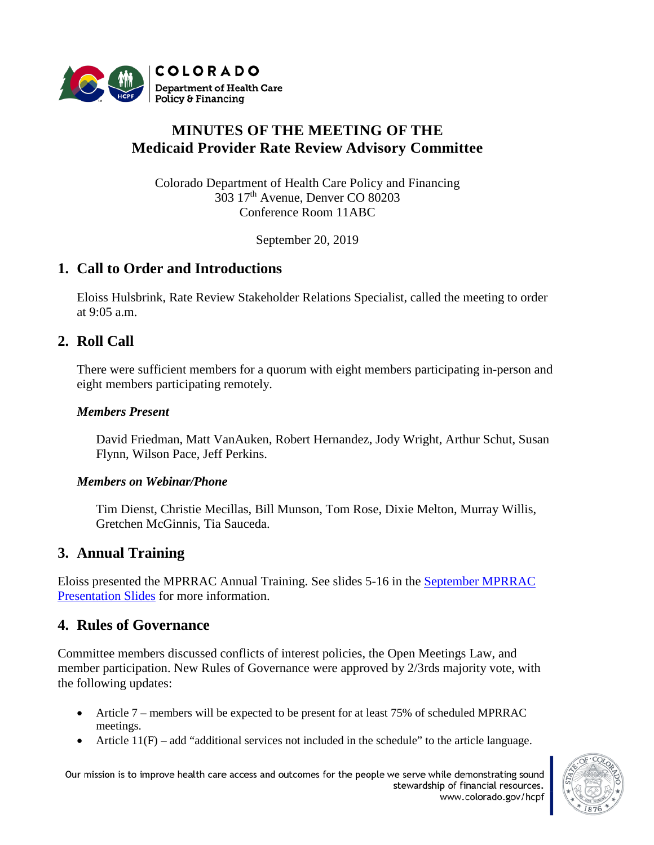

# **MINUTES OF THE MEETING OF THE Medicaid Provider Rate Review Advisory Committee**

Colorado Department of Health Care Policy and Financing 303 17th Avenue, Denver CO 80203 Conference Room 11ABC

September 20, 2019

# **1. Call to Order and Introductions**

Eloiss Hulsbrink, Rate Review Stakeholder Relations Specialist, called the meeting to order at 9:05 a.m.

## **2. Roll Call**

There were sufficient members for a quorum with eight members participating in-person and eight members participating remotely.

### *Members Present*

David Friedman, Matt VanAuken, Robert Hernandez, Jody Wright, Arthur Schut, Susan Flynn, Wilson Pace, Jeff Perkins.

### *Members on Webinar/Phone*

Tim Dienst, Christie Mecillas, Bill Munson, Tom Rose, Dixie Melton, Murray Willis, Gretchen McGinnis, Tia Sauceda.

## **3. Annual Training**

Eloiss presented the MPRRAC Annual Training. See slides 5-16 in the [September MPRRAC](https://www.colorado.gov/pacific/sites/default/files/MPRRAC%20PresentationSlides_20September2019_v2.pdf)  [Presentation Slides](https://www.colorado.gov/pacific/sites/default/files/MPRRAC%20PresentationSlides_20September2019_v2.pdf) for more information.

## **4. Rules of Governance**

Committee members discussed conflicts of interest policies, the Open Meetings Law, and member participation. New Rules of Governance were approved by 2/3rds majority vote, with the following updates:

- Article 7 members will be expected to be present for at least 75% of scheduled MPRRAC meetings.
- Article  $11(F)$  add "additional services not included in the schedule" to the article language.

Our mission is to improve health care access and outcomes for the people we serve while demonstrating sound stewardship of financial resources. www.colorado.gov/hcpf

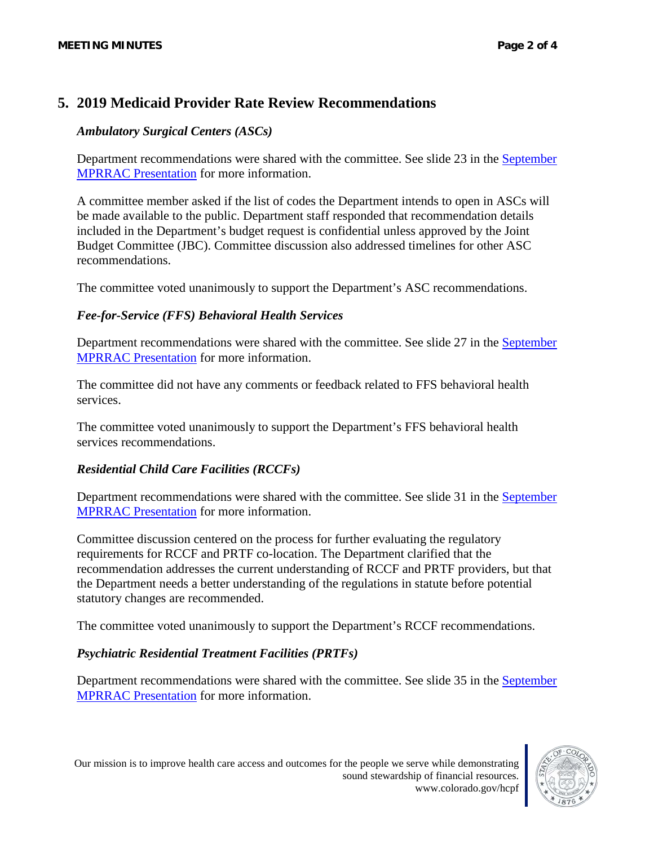## **5. 2019 Medicaid Provider Rate Review Recommendations**

### *Ambulatory Surgical Centers (ASCs)*

Department recommendations were shared with the committee. See slide 23 in the [September](https://www.colorado.gov/pacific/sites/default/files/MPRRAC%20PresentationSlides_20September2019_v2.pdf)  [MPRRAC Presentation](https://www.colorado.gov/pacific/sites/default/files/MPRRAC%20PresentationSlides_20September2019_v2.pdf) for more information.

A committee member asked if the list of codes the Department intends to open in ASCs will be made available to the public. Department staff responded that recommendation details included in the Department's budget request is confidential unless approved by the Joint Budget Committee (JBC). Committee discussion also addressed timelines for other ASC recommendations.

The committee voted unanimously to support the Department's ASC recommendations.

## *Fee-for-Service (FFS) Behavioral Health Services*

Department recommendations were shared with the committee. See slide 27 in the [September](https://www.colorado.gov/pacific/sites/default/files/MPRRAC%20PresentationSlides_20September2019_v2.pdf)  [MPRRAC Presentation](https://www.colorado.gov/pacific/sites/default/files/MPRRAC%20PresentationSlides_20September2019_v2.pdf) for more information.

The committee did not have any comments or feedback related to FFS behavioral health services.

The committee voted unanimously to support the Department's FFS behavioral health services recommendations.

## *Residential Child Care Facilities (RCCFs)*

Department recommendations were shared with the committee. See slide 31 in the [September](https://www.colorado.gov/pacific/sites/default/files/MPRRAC%20PresentationSlides_20September2019_v2.pdf)  [MPRRAC Presentation](https://www.colorado.gov/pacific/sites/default/files/MPRRAC%20PresentationSlides_20September2019_v2.pdf) for more information.

Committee discussion centered on the process for further evaluating the regulatory requirements for RCCF and PRTF co-location. The Department clarified that the recommendation addresses the current understanding of RCCF and PRTF providers, but that the Department needs a better understanding of the regulations in statute before potential statutory changes are recommended.

The committee voted unanimously to support the Department's RCCF recommendations.

### *Psychiatric Residential Treatment Facilities (PRTFs)*

Department recommendations were shared with the committee. See slide 35 in the September [MPRRAC Presentation](https://www.colorado.gov/pacific/sites/default/files/MPRRAC%20PresentationSlides_20September2019_v2.pdf) for more information.

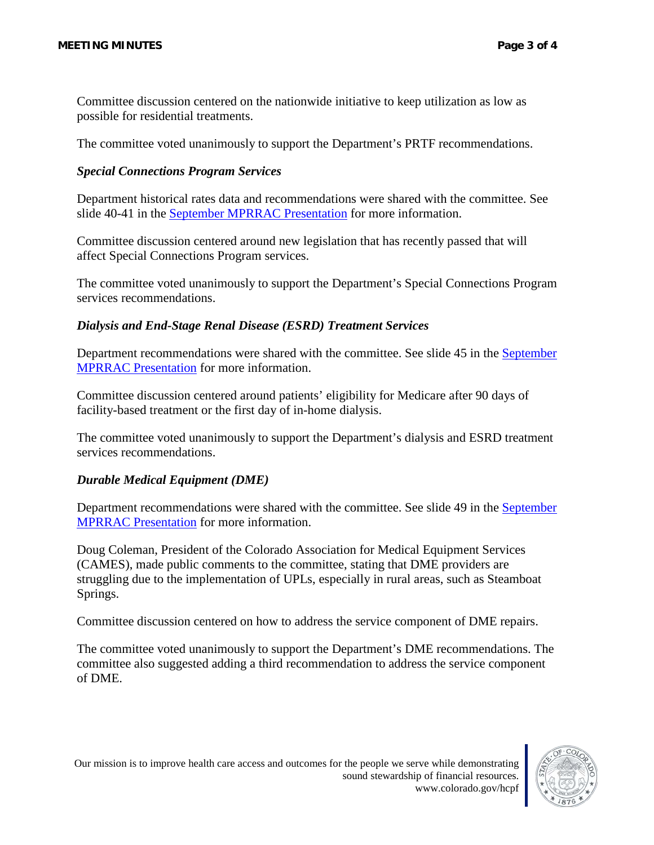Committee discussion centered on the nationwide initiative to keep utilization as low as possible for residential treatments.

The committee voted unanimously to support the Department's PRTF recommendations.

### *Special Connections Program Services*

Department historical rates data and recommendations were shared with the committee. See slide 40-41 in the [September MPRRAC Presentation](https://www.colorado.gov/pacific/sites/default/files/MPRRAC%20PresentationSlides_20September2019_v2.pdf) for more information.

Committee discussion centered around new legislation that has recently passed that will affect Special Connections Program services.

The committee voted unanimously to support the Department's Special Connections Program services recommendations.

### *Dialysis and End-Stage Renal Disease (ESRD) Treatment Services*

Department recommendations were shared with the committee. See slide 45 in the [September](https://www.colorado.gov/pacific/sites/default/files/MPRRAC%20PresentationSlides_20September2019_v2.pdf)  [MPRRAC Presentation](https://www.colorado.gov/pacific/sites/default/files/MPRRAC%20PresentationSlides_20September2019_v2.pdf) for more information.

Committee discussion centered around patients' eligibility for Medicare after 90 days of facility-based treatment or the first day of in-home dialysis.

The committee voted unanimously to support the Department's dialysis and ESRD treatment services recommendations.

### *Durable Medical Equipment (DME)*

Department recommendations were shared with the committee. See slide 49 in the [September](https://www.colorado.gov/pacific/sites/default/files/MPRRAC%20PresentationSlides_20September2019_v2.pdf)  [MPRRAC Presentation](https://www.colorado.gov/pacific/sites/default/files/MPRRAC%20PresentationSlides_20September2019_v2.pdf) for more information.

Doug Coleman, President of the Colorado Association for Medical Equipment Services (CAMES), made public comments to the committee, stating that DME providers are struggling due to the implementation of UPLs, especially in rural areas, such as Steamboat Springs.

Committee discussion centered on how to address the service component of DME repairs.

The committee voted unanimously to support the Department's DME recommendations. The committee also suggested adding a third recommendation to address the service component of DME.